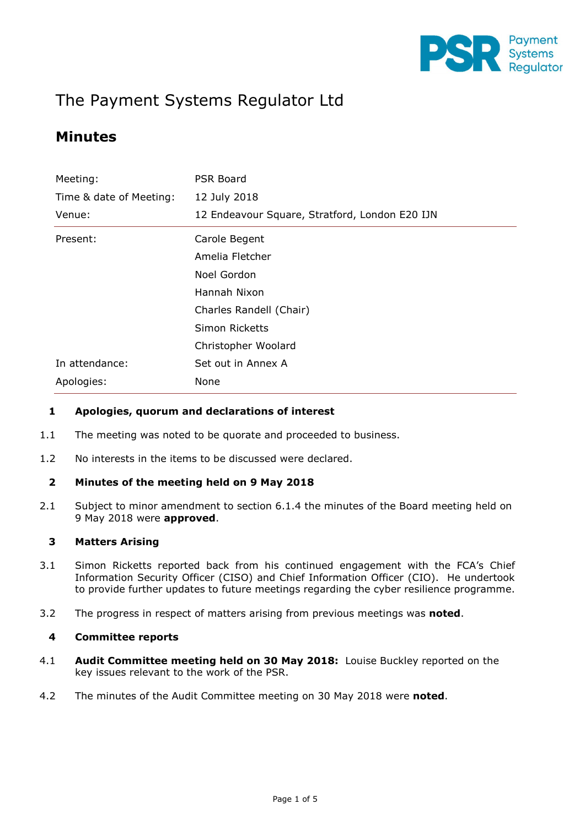

# The Payment Systems Regulator Ltd

## Minutes

| Meeting:                | <b>PSR Board</b>                               |  |  |
|-------------------------|------------------------------------------------|--|--|
| Time & date of Meeting: | 12 July 2018                                   |  |  |
| Venue:                  | 12 Endeavour Square, Stratford, London E20 IJN |  |  |
| Present:                | Carole Begent                                  |  |  |
|                         | Amelia Fletcher                                |  |  |
|                         | Noel Gordon                                    |  |  |
|                         | Hannah Nixon                                   |  |  |
|                         | Charles Randell (Chair)                        |  |  |
|                         | Simon Ricketts                                 |  |  |
|                         | Christopher Woolard                            |  |  |
| In attendance:          | Set out in Annex A                             |  |  |
| Apologies:<br>None      |                                                |  |  |

#### 1 Apologies, quorum and declarations of interest

- 1.1 The meeting was noted to be quorate and proceeded to business.
- 1.2 No interests in the items to be discussed were declared.

#### 2 Minutes of the meeting held on 9 May 2018

2.1 Subject to minor amendment to section 6.1.4 the minutes of the Board meeting held on 9 May 2018 were approved.

#### 3 Matters Arising

- 3.1 Simon Ricketts reported back from his continued engagement with the FCA's Chief Information Security Officer (CISO) and Chief Information Officer (CIO). He undertook to provide further updates to future meetings regarding the cyber resilience programme.
- 3.2 The progress in respect of matters arising from previous meetings was **noted**.

#### 4 Committee reports

- 4.1 **Audit Committee meeting held on 30 May 2018:** Louise Buckley reported on the key issues relevant to the work of the PSR.
- 4.2 The minutes of the Audit Committee meeting on 30 May 2018 were **noted.**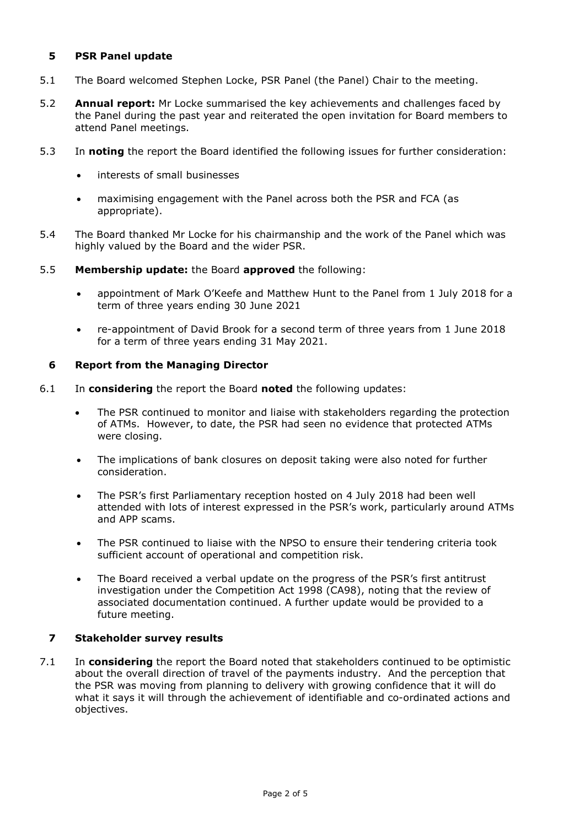#### 5 PSR Panel update

- 5.1 The Board welcomed Stephen Locke, PSR Panel (the Panel) Chair to the meeting.
- 5.2 **Annual report:** Mr Locke summarised the key achievements and challenges faced by the Panel during the past year and reiterated the open invitation for Board members to attend Panel meetings.
- 5.3 In noting the report the Board identified the following issues for further consideration:
	- interests of small businesses
	- maximising engagement with the Panel across both the PSR and FCA (as appropriate).
- 5.4 The Board thanked Mr Locke for his chairmanship and the work of the Panel which was highly valued by the Board and the wider PSR.
- 5.5 Membership update: the Board approved the following:
	- appointment of Mark O'Keefe and Matthew Hunt to the Panel from 1 July 2018 for a term of three years ending 30 June 2021
	- re-appointment of David Brook for a second term of three years from 1 June 2018 for a term of three years ending 31 May 2021.

#### 6 Report from the Managing Director

- 6.1 In considering the report the Board noted the following updates:
	- The PSR continued to monitor and liaise with stakeholders regarding the protection of ATMs. However, to date, the PSR had seen no evidence that protected ATMs were closing.
	- The implications of bank closures on deposit taking were also noted for further consideration.
	- The PSR's first Parliamentary reception hosted on 4 July 2018 had been well attended with lots of interest expressed in the PSR's work, particularly around ATMs and APP scams.
	- The PSR continued to liaise with the NPSO to ensure their tendering criteria took sufficient account of operational and competition risk.
	- The Board received a verbal update on the progress of the PSR's first antitrust investigation under the Competition Act 1998 (CA98), noting that the review of associated documentation continued. A further update would be provided to a future meeting.

#### 7 Stakeholder survey results

7.1 In considering the report the Board noted that stakeholders continued to be optimistic about the overall direction of travel of the payments industry. And the perception that the PSR was moving from planning to delivery with growing confidence that it will do what it says it will through the achievement of identifiable and co-ordinated actions and objectives.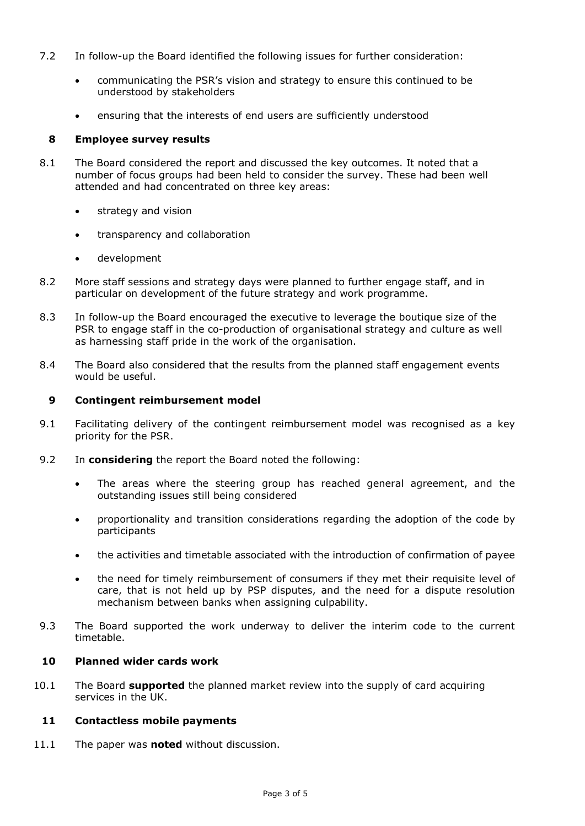- 7.2 In follow-up the Board identified the following issues for further consideration:
	- communicating the PSR's vision and strategy to ensure this continued to be understood by stakeholders
	- ensuring that the interests of end users are sufficiently understood

#### 8 Employee survey results

- 8.1 The Board considered the report and discussed the key outcomes. It noted that a number of focus groups had been held to consider the survey. These had been well attended and had concentrated on three key areas:
	- strategy and vision
	- transparency and collaboration
	- development
- 8.2 More staff sessions and strategy days were planned to further engage staff, and in particular on development of the future strategy and work programme.
- 8.3 In follow-up the Board encouraged the executive to leverage the boutique size of the PSR to engage staff in the co-production of organisational strategy and culture as well as harnessing staff pride in the work of the organisation.
- 8.4 The Board also considered that the results from the planned staff engagement events would be useful.

#### 9 Contingent reimbursement model

- 9.1 Facilitating delivery of the contingent reimbursement model was recognised as a key priority for the PSR.
- 9.2 In **considering** the report the Board noted the following:
	- The areas where the steering group has reached general agreement, and the outstanding issues still being considered
	- proportionality and transition considerations regarding the adoption of the code by participants
	- the activities and timetable associated with the introduction of confirmation of payee
	- the need for timely reimbursement of consumers if they met their requisite level of care, that is not held up by PSP disputes, and the need for a dispute resolution mechanism between banks when assigning culpability.
- 9.3 The Board supported the work underway to deliver the interim code to the current timetable.

#### 10 Planned wider cards work

10.1 The Board **supported** the planned market review into the supply of card acquiring services in the UK.

#### 11 Contactless mobile payments

11.1 The paper was **noted** without discussion.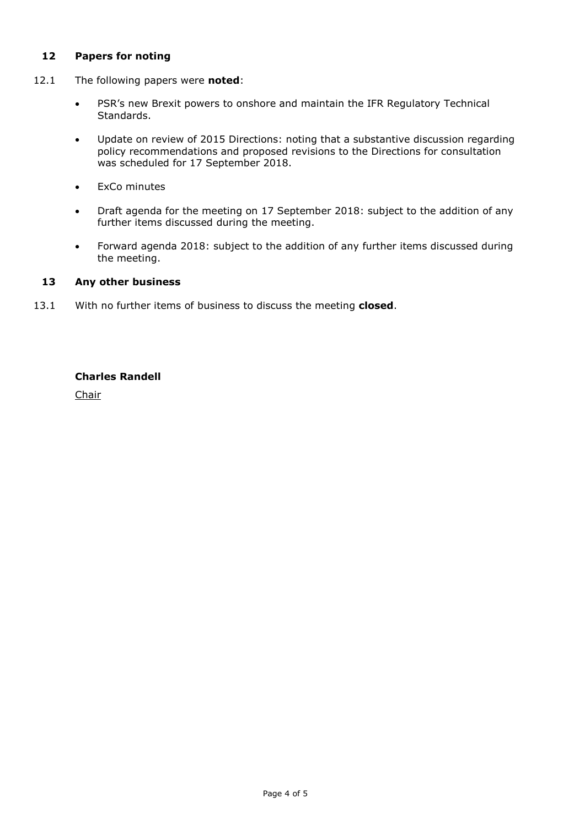#### 12 Papers for noting

- 12.1 The following papers were noted:
	- PSR's new Brexit powers to onshore and maintain the IFR Regulatory Technical Standards.
	- Update on review of 2015 Directions: noting that a substantive discussion regarding policy recommendations and proposed revisions to the Directions for consultation was scheduled for 17 September 2018.
	- ExCo minutes
	- Draft agenda for the meeting on 17 September 2018: subject to the addition of any further items discussed during the meeting.
	- Forward agenda 2018: subject to the addition of any further items discussed during the meeting.

#### 13 Any other business

13.1 With no further items of business to discuss the meeting closed.

#### Charles Randell

Chair